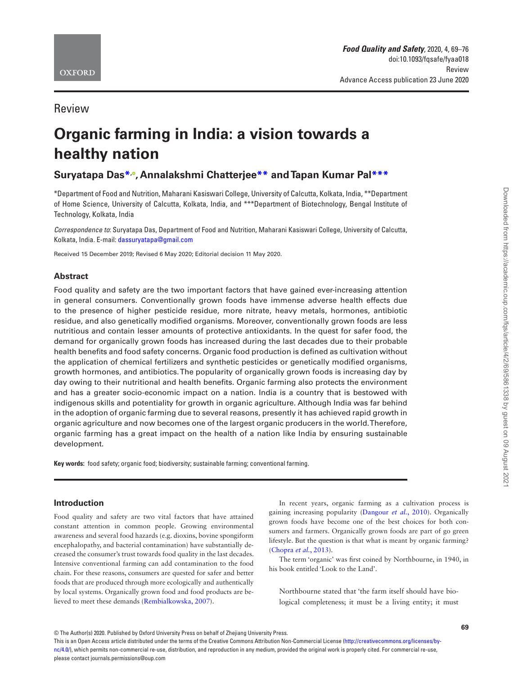# Review

# **Organic farming in India: a vision towards a healthy nation**

# **Suryatapa Das\* , , Annalakshmi Chatterjee\*\* and Tapan Kumar Pal\*\*\***

\*Department of Food and Nutrition, Maharani Kasiswari College, University of Calcutta, Kolkata, India, \*\*Department of Home Science, University of Calcutta, Kolkata, India, and \*\*\*Department of Biotechnology, Bengal Institute of Technology, Kolkata, India

Correspondence to: Suryatapa Das, Department of Food and Nutrition, Maharani Kasiswari College, University of Calcutta, Kolkata, India. E-mail: dassuryatapa@gmail.com

Received 15 December 2019; Revised 6 May 2020; Editorial decision 11 May 2020.

# **Abstract**

Food quality and safety are the two important factors that have gained ever-increasing attention in general consumers. Conventionally grown foods have immense adverse health effects due to the presence of higher pesticide residue, more nitrate, heavy metals, hormones, antibiotic residue, and also genetically modified organisms. Moreover, conventionally grown foods are less nutritious and contain lesser amounts of protective antioxidants. In the quest for safer food, the demand for organically grown foods has increased during the last decades due to their probable health benefits and food safety concerns. Organic food production is defined as cultivation without the application of chemical fertilizers and synthetic pesticides or genetically modified organisms, growth hormones, and antibiotics. The popularity of organically grown foods is increasing day by day owing to their nutritional and health benefits. Organic farming also protects the environment and has a greater socio-economic impact on a nation. India is a country that is bestowed with indigenous skills and potentiality for growth in organic agriculture. Although India was far behind in the adoption of organic farming due to several reasons, presently it has achieved rapid growth in organic agriculture and now becomes one of the largest organic producers in the world. Therefore, organic farming has a great impact on the health of a nation like India by ensuring sustainable development.

**Key words:** food safety; organic food; biodiversity; sustainable farming; conventional farming.

# **Introduction**

Food quality and safety are two vital factors that have attained constant attention in common people. Growing environmental awareness and several food hazards (e.g. dioxins, bovine spongiform encephalopathy, and bacterial contamination) have substantially decreased the consumer's trust towards food quality in the last decades. Intensive conventional farming can add contamination to the food chain. For these reasons, consumers are quested for safer and better foods that are produced through more ecologically and authentically by local systems. Organically grown food and food products are believed to meet these demands (Rembialkowska, 2007).

In recent years, organic farming as a cultivation process is gaining increasing popularity (Dangour *et al.*, 2010). Organically grown foods have become one of the best choices for both consumers and farmers. Organically grown foods are part of go green lifestyle. But the question is that what is meant by organic farming? (Chopra *et al.*, 2013).

The term 'organic' was first coined by Northbourne, in 1940, in his book entitled 'Look to the Land'.

Northbourne stated that 'the farm itself should have biological completeness; it must be a living entity; it must

This is an Open Access article distributed under the terms of the Creative Commons Attribution Non-Commercial License (http://creativecommons.org/licenses/bync/4.0/), which permits non-commercial re-use, distribution, and reproduction in any medium, provided the original work is properly cited. For commercial re-use, please contact journals.permissions@oup.com

<sup>©</sup> The Author(s) 2020. Published by Oxford University Press on behalf of Zhejiang University Press.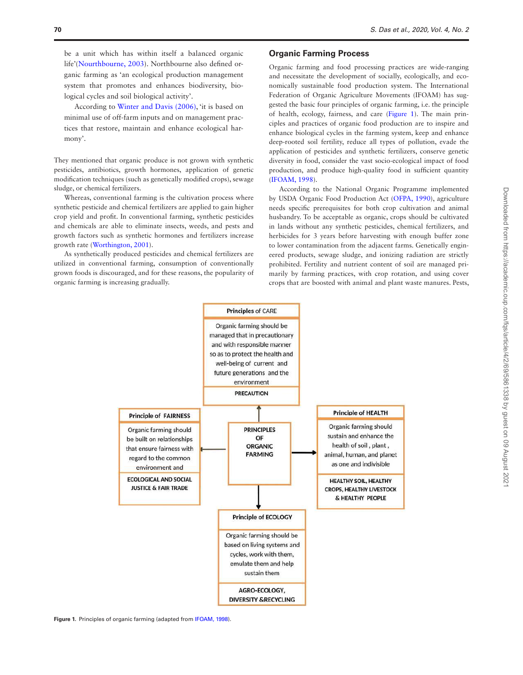be a unit which has within itself a balanced organic life'(Nourthbourne, 2003). Northbourne also defined organic farming as 'an ecological production management system that promotes and enhances biodiversity, biological cycles and soil biological activity'.

According to Winter and Davis (2006), 'it is based on minimal use of off-farm inputs and on management practices that restore, maintain and enhance ecological harmony'.

They mentioned that organic produce is not grown with synthetic pesticides, antibiotics, growth hormones, application of genetic modification techniques (such as genetically modified crops), sewage sludge, or chemical fertilizers.

Whereas, conventional farming is the cultivation process where synthetic pesticide and chemical fertilizers are applied to gain higher crop yield and profit. In conventional farming, synthetic pesticides and chemicals are able to eliminate insects, weeds, and pests and growth factors such as synthetic hormones and fertilizers increase growth rate (Worthington, 2001).

As synthetically produced pesticides and chemical fertilizers are utilized in conventional farming, consumption of conventionally grown foods is discouraged, and for these reasons, the popularity of organic farming is increasing gradually.

#### **Organic Farming Process**

Organic farming and food processing practices are wide-ranging and necessitate the development of socially, ecologically, and economically sustainable food production system. The International Federation of Organic Agriculture Movements (IFOAM) has suggested the basic four principles of organic farming, i.e. the principle of health, ecology, fairness, and care (Figure 1). The main principles and practices of organic food production are to inspire and enhance biological cycles in the farming system, keep and enhance deep-rooted soil fertility, reduce all types of pollution, evade the application of pesticides and synthetic fertilizers, conserve genetic diversity in food, consider the vast socio-ecological impact of food production, and produce high-quality food in sufficient quantity (IFOAM, 1998).

According to the National Organic Programme implemented by USDA Organic Food Production Act (OFPA, 1990), agriculture needs specific prerequisites for both crop cultivation and animal husbandry. To be acceptable as organic, crops should be cultivated in lands without any synthetic pesticides, chemical fertilizers, and herbicides for 3 years before harvesting with enough buffer zone to lower contamination from the adjacent farms. Genetically engineered products, sewage sludge, and ionizing radiation are strictly prohibited. Fertility and nutrient content of soil are managed primarily by farming practices, with crop rotation, and using cover crops that are boosted with animal and plant waste manures. Pests,

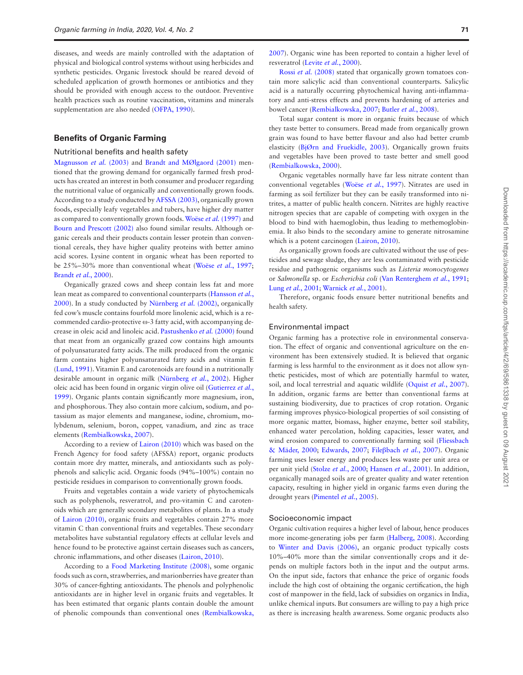diseases, and weeds are mainly controlled with the adaptation of physical and biological control systems without using herbicides and synthetic pesticides. Organic livestock should be reared devoid of scheduled application of growth hormones or antibiotics and they should be provided with enough access to the outdoor. Preventive health practices such as routine vaccination, vitamins and minerals supplementation are also needed (OFPA, 1990).

# **Benefits of Organic Farming**

#### Nutritional benefits and health safety

Magnusson *et al.* (2003) and Brandt and MØlgaord (2001) mentioned that the growing demand for organically farmed fresh products has created an interest in both consumer and producer regarding the nutritional value of organically and conventionally grown foods. According to a study conducted by AFSSA (2003), organically grown foods, especially leafy vegetables and tubers, have higher dry matter as compared to conventionally grown foods. Woëse *et al.* (1997) and Bourn and Prescott (2002) also found similar results. Although organic cereals and their products contain lesser protein than conventional cereals, they have higher quality proteins with better amino acid scores. Lysine content in organic wheat has been reported to be 25%–30% more than conventional wheat (Woëse *et al.*, 1997; Brandt *et al.*, 2000).

Organically grazed cows and sheep contain less fat and more lean meat as compared to conventional counterparts (Hansson *et al.*, 2000). In a study conducted by Nürnberg *et al.* (2002), organically fed cow's muscle contains fourfold more linolenic acid, which is a recommended cardio-protective ω-3 fatty acid, with accompanying decrease in oleic acid and linoleic acid. Pastushenko *et al.* (2000) found that meat from an organically grazed cow contains high amounts of polyunsaturated fatty acids. The milk produced from the organic farm contains higher polyunsaturated fatty acids and vitamin E (Lund, 1991). Vitamin E and carotenoids are found in a nutritionally desirable amount in organic milk (Nürnberg *et al.*, 2002). Higher oleic acid has been found in organic virgin olive oil (Gutierrez *et al.*, 1999). Organic plants contain significantly more magnesium, iron, and phosphorous. They also contain more calcium, sodium, and potassium as major elements and manganese, iodine, chromium, molybdenum, selenium, boron, copper, vanadium, and zinc as trace elements (Rembialkowska, 2007).

According to a review of Lairon (2010) which was based on the French Agency for food safety (AFSSA) report, organic products contain more dry matter, minerals, and antioxidants such as polyphenols and salicylic acid. Organic foods (94%–100%) contain no pesticide residues in comparison to conventionally grown foods.

Fruits and vegetables contain a wide variety of phytochemicals such as polyphenols, resveratrol, and pro-vitamin C and carotenoids which are generally secondary metabolites of plants. In a study of Lairon (2010), organic fruits and vegetables contain 27% more vitamin C than conventional fruits and vegetables. These secondary metabolites have substantial regulatory effects at cellular levels and hence found to be protective against certain diseases such as cancers, chronic inflammations, and other diseases (Lairon, 2010).

According to a Food Marketing Institute (2008), some organic foods such as corn, strawberries, and marionberries have greater than 30% of cancer-fighting antioxidants. The phenols and polyphenolic antioxidants are in higher level in organic fruits and vegetables. It has been estimated that organic plants contain double the amount of phenolic compounds than conventional ones (Rembialkowska,

2007). Organic wine has been reported to contain a higher level of resveratrol (Levite *et al.*, 2000).

Rossi *et al.* (2008) stated that organically grown tomatoes contain more salicylic acid than conventional counterparts. Salicylic acid is a naturally occurring phytochemical having anti-inflammatory and anti-stress effects and prevents hardening of arteries and bowel cancer (Rembialkowska, 2007; Butler *et al.*, 2008).

Total sugar content is more in organic fruits because of which they taste better to consumers. Bread made from organically grown grain was found to have better flavour and also had better crumb elasticity (BjØrn and Fruekidle, 2003). Organically grown fruits and vegetables have been proved to taste better and smell good (Rembialkowska, 2000).

Organic vegetables normally have far less nitrate content than conventional vegetables (Woëse *et al.*, 1997). Nitrates are used in farming as soil fertilizer but they can be easily transformed into nitrites, a matter of public health concern. Nitrites are highly reactive nitrogen species that are capable of competing with oxygen in the blood to bind with haemoglobin, thus leading to methemoglobinemia. It also binds to the secondary amine to generate nitrosamine which is a potent carcinogen (Lairon, 2010).

As organically grown foods are cultivated without the use of pesticides and sewage sludge, they are less contaminated with pesticide residue and pathogenic organisms such as *Listeria monocytogenes* or *Salmonella* sp. or *Escherichia coli* (Van Renterghem *et al.*, 1991; Lung *et al.*, 2001; Warnick *et al.*, 2001).

Therefore, organic foods ensure better nutritional benefits and health safety.

#### Environmental impact

Organic farming has a protective role in environmental conservation. The effect of organic and conventional agriculture on the environment has been extensively studied. It is believed that organic farming is less harmful to the environment as it does not allow synthetic pesticides, most of which are potentially harmful to water, soil, and local terrestrial and aquatic wildlife (Oquist *et al.*, 2007). In addition, organic farms are better than conventional farms at sustaining biodiversity, due to practices of crop rotation. Organic farming improves physico-biological properties of soil consisting of more organic matter, biomass, higher enzyme, better soil stability, enhanced water percolation, holding capacities, lesser water, and wind erosion compared to conventionally farming soil (Fliessbach & Mäder, 2000; Edwards, 2007; Fileβbach *et al.*, 2007). Organic farming uses lesser energy and produces less waste per unit area or per unit yield (Stolze *et al.*, 2000; Hansen *et al.*, 2001). In addition, organically managed soils are of greater quality and water retention capacity, resulting in higher yield in organic farms even during the drought years (Pimentel *et al.*, 2005).

#### Socioeconomic impact

Organic cultivation requires a higher level of labour, hence produces more income-generating jobs per farm (Halberg, 2008). According to Winter and Davis (2006), an organic product typically costs 10%–40% more than the similar conventionally crops and it depends on multiple factors both in the input and the output arms. On the input side, factors that enhance the price of organic foods include the high cost of obtaining the organic certification, the high cost of manpower in the field, lack of subsidies on organics in India, unlike chemical inputs. But consumers are willing to pay a high price as there is increasing health awareness. Some organic products also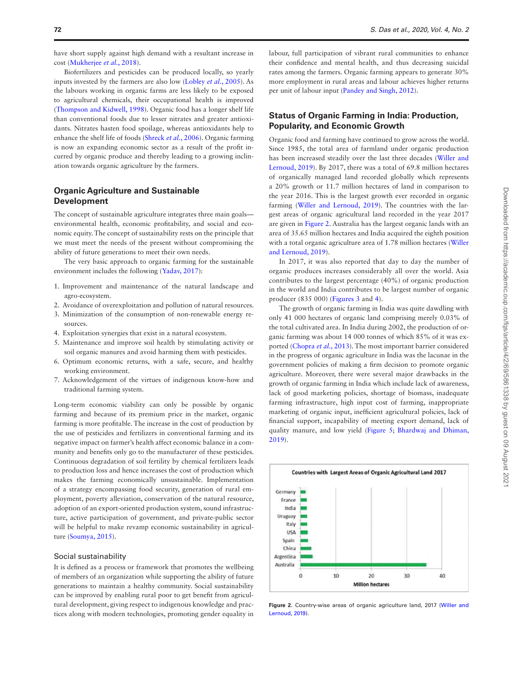have short supply against high demand with a resultant increase in cost (Mukherjee *et al.*, 2018).

Biofertilizers and pesticides can be produced locally, so yearly inputs invested by the farmers are also low (Lobley *et al.*, 2005). As the labours working in organic farms are less likely to be exposed to agricultural chemicals, their occupational health is improved (Thompson and Kidwell, 1998). Organic food has a longer shelf life than conventional foods due to lesser nitrates and greater antioxidants. Nitrates hasten food spoilage, whereas antioxidants help to enhance the shelf life of foods (Shreck *et al.*, 2006). Organic farming is now an expanding economic sector as a result of the profit incurred by organic produce and thereby leading to a growing inclination towards organic agriculture by the farmers.

# **Organic Agriculture and Sustainable Development**

The concept of sustainable agriculture integrates three main goals environmental health, economic profitability, and social and economic equity. The concept of sustainability rests on the principle that we must meet the needs of the present without compromising the ability of future generations to meet their own needs.

The very basic approach to organic farming for the sustainable environment includes the following (Yadav, 2017):

- 1. Improvement and maintenance of the natural landscape and agro-ecosystem.
- 2. Avoidance of overexploitation and pollution of natural resources.
- 3. Minimization of the consumption of non-renewable energy resources.
- 4. Exploitation synergies that exist in a natural ecosystem.
- 5. Maintenance and improve soil health by stimulating activity or soil organic manures and avoid harming them with pesticides.
- 6. Optimum economic returns, with a safe, secure, and healthy working environment.
- 7. Acknowledgement of the virtues of indigenous know-how and traditional farming system.

Long-term economic viability can only be possible by organic farming and because of its premium price in the market, organic farming is more profitable. The increase in the cost of production by the use of pesticides and fertilizers in conventional farming and its negative impact on farmer's health affect economic balance in a community and benefits only go to the manufacturer of these pesticides. Continuous degradation of soil fertility by chemical fertilizers leads to production loss and hence increases the cost of production which makes the farming economically unsustainable. Implementation of a strategy encompassing food security, generation of rural employment, poverty alleviation, conservation of the natural resource, adoption of an export-oriented production system, sound infrastructure, active participation of government, and private-public sector will be helpful to make revamp economic sustainability in agriculture (Soumya, 2015).

#### Social sustainability

It is defined as a process or framework that promotes the wellbeing of members of an organization while supporting the ability of future generations to maintain a healthy community. Social sustainability can be improved by enabling rural poor to get benefit from agricultural development, giving respect to indigenous knowledge and practices along with modern technologies, promoting gender equality in

labour, full participation of vibrant rural communities to enhance their confidence and mental health, and thus decreasing suicidal rates among the farmers. Organic farming appears to generate 30% more employment in rural areas and labour achieves higher returns per unit of labour input (Pandey and Singh, 2012).

# **Status of Organic Farming in India: Production, Popularity, and Economic Growth**

Organic food and farming have continued to grow across the world. Since 1985, the total area of farmland under organic production has been increased steadily over the last three decades (Willer and Lernoud, 2019). By 2017, there was a total of 69.8 million hectares of organically managed land recorded globally which represents a 20% growth or 11.7 million hectares of land in comparison to the year 2016. This is the largest growth ever recorded in organic farming (Willer and Lernoud, 2019). The countries with the largest areas of organic agricultural land recorded in the year 2017 are given in Figure 2. Australia has the largest organic lands with an area of 35.65 million hectares and India acquired the eighth position with a total organic agriculture area of 1.78 million hectares (Willer and Lernoud, 2019).

In 2017, it was also reported that day to day the number of organic produces increases considerably all over the world. Asia contributes to the largest percentage (40%) of organic production in the world and India contributes to be largest number of organic producer (835 000) (Figures 3 and 4).

The growth of organic farming in India was quite dawdling with only 41 000 hectares of organic land comprising merely 0.03% of the total cultivated area. In India during 2002, the production of organic farming was about 14 000 tonnes of which 85% of it was exported (Chopra *et al.*, 2013). The most important barrier considered in the progress of organic agriculture in India was the lacunae in the government policies of making a firm decision to promote organic agriculture. Moreover, there were several major drawbacks in the growth of organic farming in India which include lack of awareness, lack of good marketing policies, shortage of biomass, inadequate farming infrastructure, high input cost of farming, inappropriate marketing of organic input, inefficient agricultural policies, lack of financial support, incapability of meeting export demand, lack of quality manure, and low yield (Figure 5; Bhardwaj and Dhiman, 2019).



Figure 2. Country-wise areas of organic agriculture land, 2017 (Willer and Lernoud, 2019).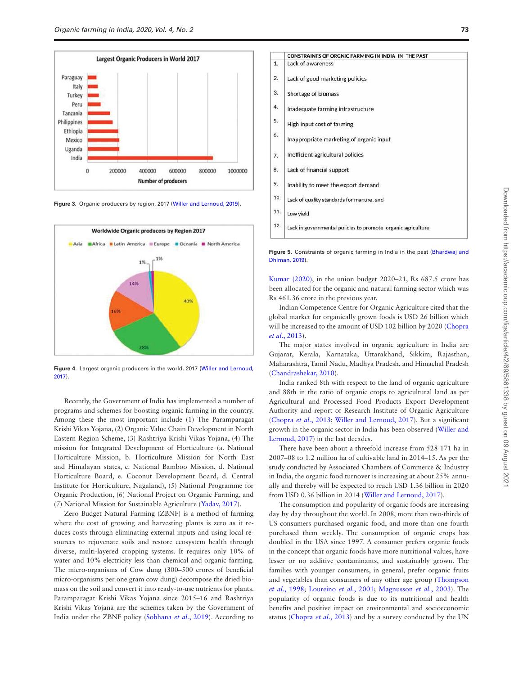





**Figure 4.** Largest organic producers in the world, 2017 (Willer and Lernoud, 2017).

Recently, the Government of India has implemented a number of programs and schemes for boosting organic farming in the country. Among these the most important include (1) The Paramparagat Krishi Vikas Yojana, (2) Organic Value Chain Development in North Eastern Region Scheme, (3) Rashtriya Krishi Vikas Yojana, (4) The mission for Integrated Development of Horticulture (a. National Horticulture Mission, b. Horticulture Mission for North East and Himalayan states, c. National Bamboo Mission, d. National Horticulture Board, e. Coconut Development Board, d. Central Institute for Horticulture, Nagaland), (5) National Programme for Organic Production, (6) National Project on Organic Farming, and (7) National Mission for Sustainable Agriculture (Yadav, 2017).

Zero Budget Natural Farming (ZBNF) is a method of farming where the cost of growing and harvesting plants is zero as it reduces costs through eliminating external inputs and using local resources to rejuvenate soils and restore ecosystem health through diverse, multi-layered cropping systems. It requires only 10% of water and 10% electricity less than chemical and organic farming. The micro-organisms of Cow dung (300–500 crores of beneficial micro-organisms per one gram cow dung) decompose the dried biomass on the soil and convert it into ready-to-use nutrients for plants. Paramparagat Krishi Vikas Yojana since 2015–16 and Rashtriya Krishi Vikas Yojana are the schemes taken by the Government of India under the ZBNF policy (Sobhana *et al.*, 2019). According to

| CONSTRAINTS OF ORGNIC FARMING IN INDIA IN THE PAST           |  |
|--------------------------------------------------------------|--|
| Lack of awareness                                            |  |
| Lack of good marketing policies                              |  |
| Shortage of biomass                                          |  |
| Inadequate farming infrastructure                            |  |
| High input cost of farming                                   |  |
| Inappropriate marketing of organic input                     |  |
| Inefficient agricultural policies                            |  |
| Lack of financial support                                    |  |
| Inability to meet the export demand                          |  |
| Lack of quality standards for manure, and                    |  |
| Low yield                                                    |  |
| Lack in governmental policies to promote organic agriculture |  |

 $\overline{1}$ .

 $\overline{2}$ 

 $\overline{3}$ 

 $\Delta$ 

 $\overline{a}$ 

6.

 $\overline{7}$ 

 $\mathbf{R}$ 

9

10  $11.$  $12$ 

Figure 5. Constraints of organic farming in India in the past (Bhardwaj and Dhiman, 2019).

Kumar (2020), in the union budget 2020–21, Rs 687.5 crore has been allocated for the organic and natural farming sector which was Rs 461.36 crore in the previous year.

Indian Competence Centre for Organic Agriculture cited that the global market for organically grown foods is USD 26 billion which will be increased to the amount of USD 102 billion by 2020 (Chopra *et al.*, 2013).

The major states involved in organic agriculture in India are Gujarat, Kerala, Karnataka, Uttarakhand, Sikkim, Rajasthan, Maharashtra, Tamil Nadu, Madhya Pradesh, and Himachal Pradesh (Chandrashekar, 2010).

India ranked 8th with respect to the land of organic agriculture and 88th in the ratio of organic crops to agricultural land as per Agricultural and Processed Food Products Export Development Authority and report of Research Institute of Organic Agriculture (Chopra *et al.*, 2013; Willer and Lernoud, 2017). But a significant growth in the organic sector in India has been observed (Willer and Lernoud, 2017) in the last decades.

There have been about a threefold increase from 528 171 ha in 2007–08 to 1.2 million ha of cultivable land in 2014–15. As per the study conducted by Associated Chambers of Commerce & Industry in India, the organic food turnover is increasing at about 25% annually and thereby will be expected to reach USD 1.36 billion in 2020 from USD 0.36 billion in 2014 (Willer and Lernoud, 2017).

The consumption and popularity of organic foods are increasing day by day throughout the world. In 2008, more than two-thirds of US consumers purchased organic food, and more than one fourth purchased them weekly. The consumption of organic crops has doubled in the USA since 1997. A consumer prefers organic foods in the concept that organic foods have more nutritional values, have lesser or no additive contaminants, and sustainably grown. The families with younger consumers, in general, prefer organic fruits and vegetables than consumers of any other age group (Thompson *et al.*, 1998; Loureino *et al.*, 2001; Magnusson *et al.*, 2003). The popularity of organic foods is due to its nutritional and health benefits and positive impact on environmental and socioeconomic status (Chopra *et al.*, 2013) and by a survey conducted by the UN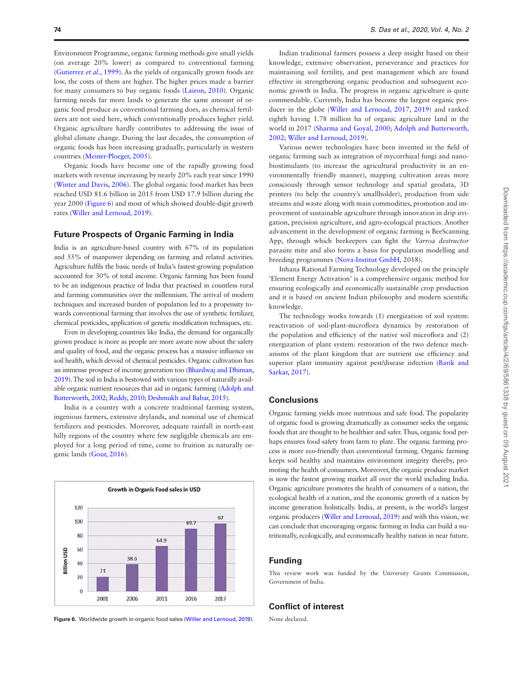Environment Programme, organic farming methods give small yields (on average 20% lower) as compared to conventional farming (Gutierrez *et al.*, 1999). As the yields of organically grown foods are low, the costs of them are higher. The higher prices made a barrier for many consumers to buy organic foods (Lairon, 2010). Organic farming needs far more lands to generate the same amount of organic food produce as conventional farming does, as chemical fertilizers are not used here, which conventionally produces higher yield. Organic agriculture hardly contributes to addressing the issue of global climate change. During the last decades, the consumption of organic foods has been increasing gradually, particularly in western countries (Meiner-Ploeger, 2005).

Organic foods have become one of the rapidly growing food markets with revenue increasing by nearly 20% each year since 1990 (Winter and Davis, 2006). The global organic food market has been reached USD 81.6 billion in 2015 from USD 17.9 billion during the year 2000 (Figure 6) and most of which showed double-digit growth rates (Willer and Lernoud, 2019).

## **Future Prospects of Organic Farming in India**

India is an agriculture-based country with 67% of its population and 55% of manpower depending on farming and related activities. Agriculture fulfils the basic needs of India's fastest-growing population accounted for 30% of total income. Organic farming has been found to be an indigenous practice of India that practised in countless rural and farming communities over the millennium. The arrival of modern techniques and increased burden of population led to a propensity towards conventional farming that involves the use of synthetic fertilizer, chemical pesticides, application of genetic modification techniques, etc.

Even in developing countries like India, the demand for organically grown produce is more as people are more aware now about the safety and quality of food, and the organic process has a massive influence on soil health, which devoid of chemical pesticides. Organic cultivation has an immense prospect of income generation too (Bhardwaj and Dhiman, 2019). The soil in India is bestowed with various types of naturally available organic nutrient resources that aid in organic farming (Adolph and Butterworth, 2002; Reddy, 2010; Deshmukh and Babar, 2015).

India is a country with a concrete traditional farming system, ingenious farmers, extensive drylands, and nominal use of chemical fertilizers and pesticides. Moreover, adequate rainfall in north-east hilly regions of the country where few negligible chemicals are employed for a long period of time, come to fruition as naturally organic lands (Gour, 2016).



Figure 6. Worldwide growth in organic food sales (Willer and Lernoud, 2019). None declared.

Indian traditional farmers possess a deep insight based on their knowledge, extensive observation, perseverance and practices for maintaining soil fertility, and pest management which are found effective in strengthening organic production and subsequent economic growth in India. The progress in organic agriculture is quite commendable. Currently, India has become the largest organic producer in the globe (Willer and Lernoud, 2017, 2019) and ranked eighth having 1.78 million ha of organic agriculture land in the world in 2017 (Sharma and Goyal, 2000; Adolph and Butterworth, 2002; Willer and Lernoud, 2019).

Various newer technologies have been invented in the field of organic farming such as integration of mycorrhizal fungi and nanobiostimulants (to increase the agricultural productivity in an environmentally friendly manner), mapping cultivation areas more consciously through sensor technology and spatial geodata, 3D printers (to help the country's smallholder), production from side streams and waste along with main commodities, promotion and improvement of sustainable agriculture through innovation in drip irrigation, precision agriculture, and agro-ecological practices. Another advancement in the development of organic farming is BeeScanning App, through which beekeepers can fight the *Varroa destructor* parasite mite and also forms a basis for population modelling and breeding programmes (Nova-Institut GmbH, 2018).

Inhana Rational Farming Technology developed on the principle 'Element Energy Activation' is a comprehensive organic method for ensuring ecologically and economically sustainable crop production and it is based on ancient Indian philosophy and modern scientific knowledge.

The technology works towards (1) energization of soil system: reactivation of soil-plant-microflora dynamics by restoration of the population and efficiency of the native soil microflora and (2) energization of plant system: restoration of the two defence mechanisms of the plant kingdom that are nutrient use efficiency and superior plant immunity against pest/disease infection (Barik and Sarkar, 2017).

# **Conclusions**

Organic farming yields more nutritious and safe food. The popularity of organic food is growing dramatically as consumer seeks the organic foods that are thought to be healthier and safer. Thus, organic food perhaps ensures food safety from farm to plate. The organic farming process is more eco-friendly than conventional farming. Organic farming keeps soil healthy and maintains environment integrity thereby, promoting the health of consumers. Moreover, the organic produce market is now the fastest growing market all over the world including India. Organic agriculture promotes the health of consumers of a nation, the ecological health of a nation, and the economic growth of a nation by income generation holistically. India, at present, is the world's largest organic producers (Willer and Lernoud, 2019) and with this vision, we can conclude that encouraging organic farming in India can build a nutritionally, ecologically, and economically healthy nation in near future.

# **Funding**

This review work was funded by the University Grants Commission, Government of India.

## **Conflict of interest**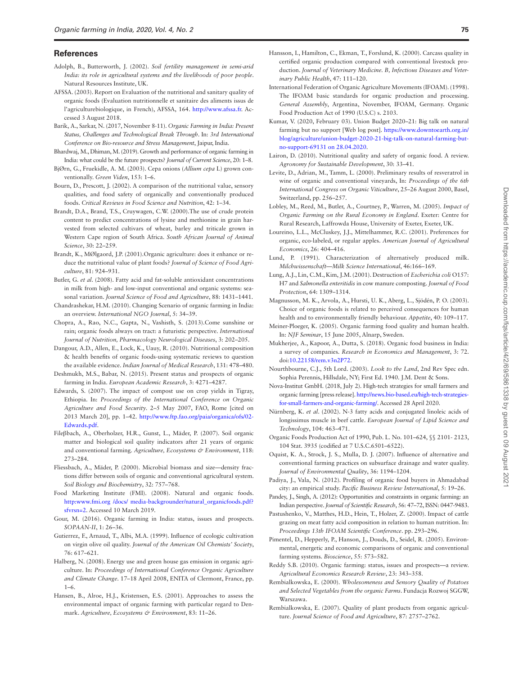#### **References**

- Adolph, B., Butterworth, J. (2002). *Soil fertility management in semi-arid India: its role in agricultural systems and the livelihoods of poor people*. Natural Resources Institute, UK.
- AFSSA. (2003). Report on Evaluation of the nutritional and sanitary quality of organic foods (Evaluation nutritionnelle et sanitaire des aliments issus de l'agriculturebiologique, in French), AFSSA, 164. http://www.afssa.fr. Accessed 3 August 2018.
- Barik, A., Sarkar, N. (2017, November 8-11). *Organic Farming in India: Present Status, Challenges and Technological Break Through*. In: *3rd International Conference on Bio-resource and Stress Management*, Jaipur, India.
- Bhardwaj, M., Dhiman, M. (2019). Growth and performance of organic farming in India: what could be the future prospects? *Journal of Current Science*, 20: 1–8.
- BjØrn, G., Fruekidle, A. M. (2003). Cepa onions (*Allium cepa* L) grown conventionally. *Green Viden*, 153: 1–6.
- Bourn, D., Prescott, J. (2002). A comparison of the nutritional value, sensory qualities, and food safety of organically and conventionally produced foods. *Critical Reviews in Food Science and Nutrition*, 42: 1–34.
- Brandt, D.A., Brand, T.S., Cruywagen, C.W. (2000).The use of crude protein content to predict concentrations of lysine and methionine in grain harvested from selected cultivars of wheat, barley and triticale grown in Western Cape region of South Africa. *South African Journal of Animal Science*, 30: 22–259.
- Brandt, K., MØlgaord, J.P. (2001).Organic agriculture: does it enhance or reduce the nutritional value of plant foods? *Journal of Science of Food Agriculture*, 81: 924–931.
- Butler, G. *et al*. (2008). Fatty acid and fat-soluble antioxidant concentrations in milk from high- and low-input conventional and organic systems: seasonal variation. *Journal Science of Food and Agriculture*, 88: 1431–1441.
- Chandrashekar, H.M. (2010). Changing Scenario of organic farming in India: an overview. *International NGO Journal*, 5: 34–39.
- Chopra, A., Rao, N.C., Gupta, N., Vashisth, S. (2013).Come sunshine or rain; organic foods always on tract: a futuristic perspective. *International Journal of Nutrition, Pharmacology Neurological Diseases*, 3: 202–205.
- Dangour, A.D., Allen, E., Lock, K., Uauy, R. (2010). Nutritional composition & health benefits of organic foods-using systematic reviews to question the available evidence. *Indian Journal of Medical Research*, 131: 478–480.
- Deshmukh, M.S., Babar, N. (2015). Present status and prospects of organic farming in India. *European Academic Research*, 3: 4271–4287.
- Edwards, S. (2007). The impact of compost use on crop yields in Tigray, Ethiopia. In: *Proceedings of the International Conference on Organic Agriculture and Food Security*. 2–5 May 2007, FAO, Rome [cited on 2013 March 20], pp. 1–42. http://www.ftp.fao.org/paia/organica/ofs/02- Edwards.pdf.
- Fileβbach, A., Oberholzer, H.R., Gunst, L., Mäder, P. (2007). Soil organic matter and biological soil quality indicators after 21 years of organic and conventional farming. *Agriculture, Ecosystems & Environment*, 118: 273–284.
- Fliessbach, A., Mäder, P. (2000). Microbial biomass and size—density fractions differ between soils of organic and conventional agricultural system. *Soil Biology and Biochemistry*, 32: 757–768.
- Food Marketing Institute (FMI). (2008). Natural and organic foods. http:www.fmi.org /docs/ media-backgrounder/natural\_organicfoods.pdf? sfvrsn=2. Accessed 10 March 2019.
- Gour, M. (2016). Organic farming in India: status, issues and prospects. *SOPAAN-II*, 1: 26–36.
- Gutierrez, F., Arnaud, T., Albi, M.A. (1999). Influence of ecologic cultivation on virgin olive oil quality. *Journal of the American Oil Chemists' Society*, 76: 617–621.
- Halberg, N. (2008). Energy use and green house gas emission in organic agriculture. In: *Proceedings of International Conference Organic Agriculture and Climate Change*. 17–18 April 2008, ENITA of Clermont, France, pp. 1–6.
- Hansen, B., Alroe, H.J., Kristensen, E.S. (2001). Approaches to assess the environmental impact of organic farming with particular regard to Denmark. *Agriculture, Ecosystems & Environment*, 83: 11–26.
- Hansson, I., Hamilton, C., Ekman, T., Forslund, K. (2000). Carcass quality in certified organic production compared with conventional livestock production. *Journal of Veterinary Medicine. B, Infectious Diseases and Veterinary Public Health*, 47: 111–120.
- International Federation of Organic Agriculture Movements (IFOAM). (1998). The IFOAM basic standards for organic production and processing. *General Assembly*, Argentina, November, IFOAM, Germany. Organic Food Production Act of 1990 (U.S.C) s. 2103.
- Kumar, V. (2020, February 03). Union Budget 2020–21: Big talk on natural farming but no support [Web log post]. https://www.downtoearth.org.in/ blog/agriculture/union-budget-2020-21-big-talk-on-natural-farming-butno-support-69131 on 28.04.2020.
- Lairon, D. (2010). Nutritional quality and safety of organic food. A review. *Agronomy for Sustainable Development*, 30: 33–41.
- Levite, D., Adrian, M., Tamm, L. (2000). Preliminary results of resveratrol in wine of organic and conventional vineyards, In: *Proceedings of the 6th International Congress on Organic Viticulture*, 25–26 August 2000, Basel, Switzerland, pp. 256–257.
- Lobley, M., Reed, M., Butler, A., Courtney, P., Warren, M. (2005). *Impact of Organic Farming on the Rural Economy in England*. Exeter: Centre for Rural Research, Laffrowda House, University of Exeter, Exeter, UK.
- Loureino, L.L., McCluskey, J.J., Mittelhammer, R.C. (2001). Preferences for organic, eco-labeled, or regular apples. *American Journal of Agricultural Economics*, 26: 404–416.
- Lund, P. (1991). Characterization of alternatively produced milk. *Milchwissenschaft—Milk Science International*, 46:166–169.
- Lung, A.J., Lin, C.M., Kim, J.M. (2001). Destruction of *Escherichia coli* O157: H7 and *Salmonella enteritidis* in cow manure composting. *Journal of Food Protection*, 64: 1309–1314.
- Magnusson, M. K., Arvola, A., Hursti, U. K., Aberg, L., Sjödén, P. O. (2003). Choice of organic foods is related to perceived consequences for human health and to environmentally friendly behaviour. *Appetite*, 40: 109–117.
- Meiner-Ploeger, K. (2005). Organic farming food quality and human health. In: *NJF Seminar*, 15 June 2005, Alnarp, Sweden.
- Mukherjee, A., Kapoor, A., Dutta, S. (2018). Organic food business in India: a survey of companies. *Research in Economics and Management*, 3: 72. doi:10.22158/rem.v3n2P72.
- Nourthbourne, C.J., 5th Lord. (2003). *Look to the Land*, 2nd Rev Spec edn. Sophia Perennis, Hillsdale, NY; First Ed. 1940. J.M. Dent & Sons.
- Nova-Institut GmbH. (2018, July 2). High-tech strategies for small farmers and organic farming [press release]. http://news.bio-based.eu/high-tech-strategiesfor-small-farmers-and-organic-farming/. Accessed 28 April 2020.
- Nürnberg, K. *et al*. (2002). N-3 fatty acids and conjugated linoleic acids of longissimus muscle in beef cattle. *European Journal of Lipid Science and Technology*, 104: 463–471.
- Organic Foods Production Act of 1990, Pub. L. No. 101–624, §§ 2101- 2123, 104 Stat. 3935 (codified at 7 U.S.C.6501–6522).
- Oquist, K. A., Strock, J. S., Mulla, D. J. (2007). Influence of alternative and conventional farming practices on subsurface drainage and water quality. *Journal of Environmental Quality*, 36: 1194–1204.
- Padiya, J., Vala, N. (2012). Profiling of organic food buyers in Ahmadabad city: an empirical study. *Pacific Business Review International*, 5: 19–26.
- Pandey, J., Singh, A. (2012): Opportunities and constraints in organic farming: an Indian perspective. *Journal of Scientific Research*, 56: 47–72, ISSN: 0447-9483.
- Pastushenko, V., Matthes, H.D., Hein, T., Holzer, Z. (2000). Impact of cattle grazing on meat fatty acid composition in relation to human nutrition. In: *Proceedings 13th IFOAM Scientific Conference*. pp. 293–296.
- Pimentel, D., Hepperly, P., Hanson, J., Douds, D., Seidel, R. (2005). Environmental, energetic and economic comparisons of organic and conventional farming systems. *Bioscience*, 55: 573–582.
- Reddy S.B. (2010). Organic farming: status, issues and prospects—a review. *Agricultural Economics Research Review*, 23: 343–358.
- Rembialkowska, E. (2000). *Wholesomeness and Sensory Quality of Potatoes and Selected Vegetables from the organic Farms*. Fundacja Rozwoj SGGW, Warszawa.
- Rembialkowska, E. (2007). Quality of plant products from organic agriculture. *Journal Science of Food and Agriculture*, 87: 2757–2762.